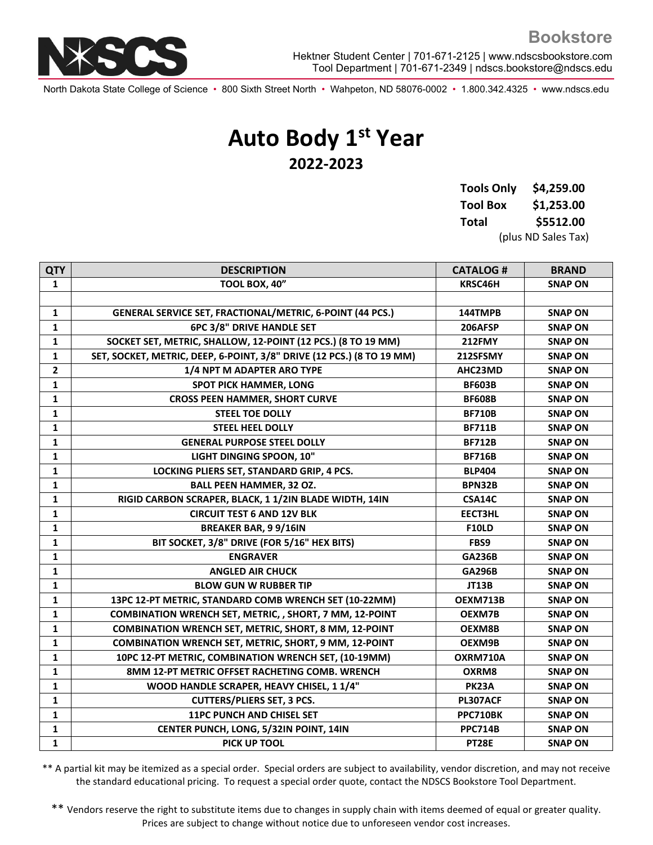

North Dakota State College of Science • 800 Sixth Street North • Wahpeton, ND 58076-0002 • 1.800.342.4325 • www.ndscs.edu

## **Auto Body 1st Year 2022-2023**

| <b>Tools Only</b> | \$4,259.00<br>\$1,253.00 |  |
|-------------------|--------------------------|--|
| <b>Tool Box</b>   |                          |  |
| Total             | \$5512.00                |  |
|                   | (plus ND Sales Tax)      |  |

| <b>QTY</b>   | <b>DESCRIPTION</b>                                                    | <b>CATALOG#</b> | <b>BRAND</b>   |
|--------------|-----------------------------------------------------------------------|-----------------|----------------|
| $\mathbf{1}$ | TOOL BOX, 40"                                                         | KRSC46H         | <b>SNAP ON</b> |
|              |                                                                       |                 |                |
| $\mathbf{1}$ | <b>GENERAL SERVICE SET, FRACTIONAL/METRIC, 6-POINT (44 PCS.)</b>      | 144TMPB         | <b>SNAP ON</b> |
| 1            | <b>6PC 3/8" DRIVE HANDLE SET</b>                                      | 206AFSP         | <b>SNAP ON</b> |
| $\mathbf{1}$ | SOCKET SET, METRIC, SHALLOW, 12-POINT (12 PCS.) (8 TO 19 MM)          | <b>212FMY</b>   | <b>SNAP ON</b> |
| $\mathbf{1}$ | SET, SOCKET, METRIC, DEEP, 6-POINT, 3/8" DRIVE (12 PCS.) (8 TO 19 MM) | 212SFSMY        | <b>SNAP ON</b> |
| $\mathbf{2}$ | 1/4 NPT M ADAPTER ARO TYPE                                            | AHC23MD         | <b>SNAP ON</b> |
| 1            | <b>SPOT PICK HAMMER, LONG</b>                                         | <b>BF603B</b>   | <b>SNAP ON</b> |
| 1            | <b>CROSS PEEN HAMMER, SHORT CURVE</b>                                 | <b>BF608B</b>   | <b>SNAP ON</b> |
| $\mathbf{1}$ | <b>STEEL TOE DOLLY</b>                                                | <b>BF710B</b>   | <b>SNAP ON</b> |
| $\mathbf{1}$ | <b>STEEL HEEL DOLLY</b>                                               | <b>BF711B</b>   | <b>SNAP ON</b> |
| $\mathbf{1}$ | <b>GENERAL PURPOSE STEEL DOLLY</b>                                    | <b>BF712B</b>   | <b>SNAP ON</b> |
| $\mathbf{1}$ | LIGHT DINGING SPOON, 10"                                              | <b>BF716B</b>   | <b>SNAP ON</b> |
| $\mathbf{1}$ | LOCKING PLIERS SET, STANDARD GRIP, 4 PCS.                             | <b>BLP404</b>   | <b>SNAP ON</b> |
| 1            | <b>BALL PEEN HAMMER, 32 OZ.</b>                                       | BPN32B          | <b>SNAP ON</b> |
| 1            | RIGID CARBON SCRAPER, BLACK, 1 1/2IN BLADE WIDTH, 14IN                | CSA14C          | <b>SNAP ON</b> |
| 1            | <b>CIRCUIT TEST 6 AND 12V BLK</b>                                     | <b>EECT3HL</b>  | <b>SNAP ON</b> |
| $\mathbf{1}$ | <b>BREAKER BAR, 99/16IN</b>                                           | <b>F10LD</b>    | <b>SNAP ON</b> |
| $\mathbf{1}$ | BIT SOCKET, 3/8" DRIVE (FOR 5/16" HEX BITS)                           | FBS9            | <b>SNAP ON</b> |
| 1            | <b>ENGRAVER</b>                                                       | <b>GA236B</b>   | <b>SNAP ON</b> |
| $\mathbf{1}$ | <b>ANGLED AIR CHUCK</b>                                               | <b>GA296B</b>   | <b>SNAP ON</b> |
| $\mathbf{1}$ | <b>BLOW GUN W RUBBER TIP</b>                                          | <b>JT13B</b>    | <b>SNAP ON</b> |
| $\mathbf{1}$ | 13PC 12-PT METRIC, STANDARD COMB WRENCH SET (10-22MM)                 | OEXM713B        | <b>SNAP ON</b> |
| $\mathbf{1}$ | COMBINATION WRENCH SET, METRIC, , SHORT, 7 MM, 12-POINT               | <b>OEXM7B</b>   | <b>SNAP ON</b> |
| $\mathbf{1}$ | <b>COMBINATION WRENCH SET, METRIC, SHORT, 8 MM, 12-POINT</b>          | OEXM8B          | <b>SNAP ON</b> |
| $\mathbf{1}$ | COMBINATION WRENCH SET, METRIC, SHORT, 9 MM, 12-POINT                 | OEXM9B          | <b>SNAP ON</b> |
| 1            | 10PC 12-PT METRIC, COMBINATION WRENCH SET, (10-19MM)                  | OXRM710A        | <b>SNAP ON</b> |
| $\mathbf{1}$ | 8MM 12-PT METRIC OFFSET RACHETING COMB. WRENCH                        | OXRM8           | <b>SNAP ON</b> |
| $\mathbf{1}$ | WOOD HANDLE SCRAPER, HEAVY CHISEL, 1 1/4"                             | <b>PK23A</b>    | <b>SNAP ON</b> |
| $\mathbf{1}$ | <b>CUTTERS/PLIERS SET, 3 PCS.</b>                                     | PL307ACF        | <b>SNAP ON</b> |
| $\mathbf{1}$ | <b>11PC PUNCH AND CHISEL SET</b>                                      | PPC710BK        | <b>SNAP ON</b> |
| 1            | CENTER PUNCH, LONG, 5/32IN POINT, 14IN                                | <b>PPC714B</b>  | <b>SNAP ON</b> |
| $\mathbf{1}$ | PICK UP TOOL                                                          | <b>PT28E</b>    | <b>SNAP ON</b> |

\*\* A partial kit may be itemized as a special order. Special orders are subject to availability, vendor discretion, and may not receive the standard educational pricing. To request a special order quote, contact the NDSCS Bookstore Tool Department.

\*\* Vendors reserve the right to substitute items due to changes in supply chain with items deemed of equal or greater quality. Prices are subject to change without notice due to unforeseen vendor cost increases.